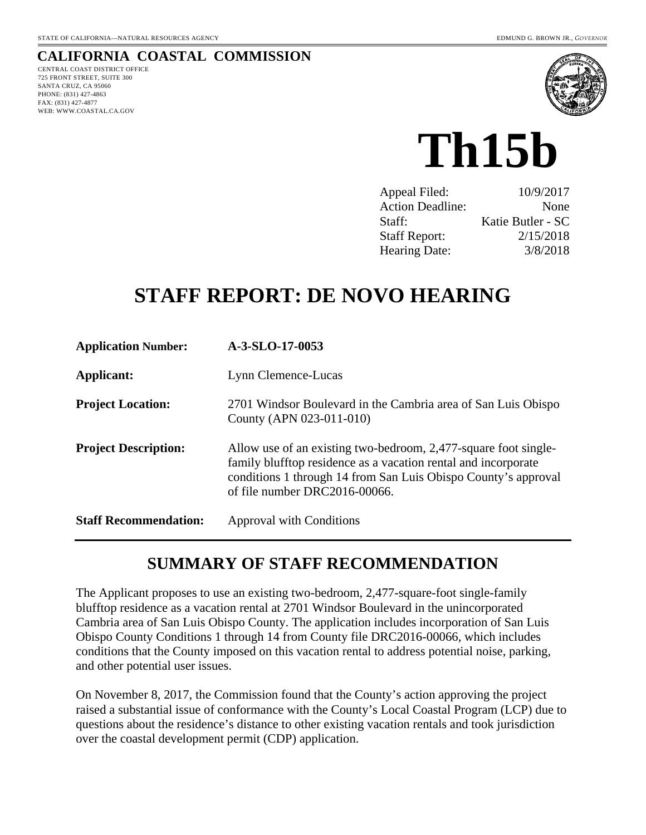#### **CALIFORNIA COASTAL COMMISSION**  CENTRAL COAST DISTRICT OFFICE

725 FRONT STREET, SUITE 300 SANTA CRUZ, CA 95060 PHONE: (831) 427-4863 FAX: (831) 427-4877 WEB: WWW.COASTAL.CA.GOV



# **Th15b**

| Appeal Filed:           | 10/9/2017         |
|-------------------------|-------------------|
| <b>Action Deadline:</b> | None              |
| Staff:                  | Katie Butler - SC |
| <b>Staff Report:</b>    | 2/15/2018         |
| <b>Hearing Date:</b>    | 3/8/2018          |

# **STAFF REPORT: DE NOVO HEARING**

| <b>Application Number:</b>   | A-3-SLO-17-0053                                                                                                                                                                                                                      |
|------------------------------|--------------------------------------------------------------------------------------------------------------------------------------------------------------------------------------------------------------------------------------|
| <b>Applicant:</b>            | Lynn Clemence-Lucas                                                                                                                                                                                                                  |
| <b>Project Location:</b>     | 2701 Windsor Boulevard in the Cambria area of San Luis Obispo<br>County (APN 023-011-010)                                                                                                                                            |
| <b>Project Description:</b>  | Allow use of an existing two-bedroom, 2,477-square foot single-<br>family blufftop residence as a vacation rental and incorporate<br>conditions 1 through 14 from San Luis Obispo County's approval<br>of file number DRC2016-00066. |
| <b>Staff Recommendation:</b> | Approval with Conditions                                                                                                                                                                                                             |

# **SUMMARY OF STAFF RECOMMENDATION**

The Applicant proposes to use an existing two-bedroom, 2,477-square-foot single-family blufftop residence as a vacation rental at 2701 Windsor Boulevard in the unincorporated Cambria area of San Luis Obispo County. The application includes incorporation of San Luis Obispo County Conditions 1 through 14 from County file DRC2016-00066, which includes conditions that the County imposed on this vacation rental to address potential noise, parking, and other potential user issues.

On November 8, 2017, the Commission found that the County's action approving the project raised a substantial issue of conformance with the County's Local Coastal Program (LCP) due to questions about the residence's distance to other existing vacation rentals and took jurisdiction over the coastal development permit (CDP) application.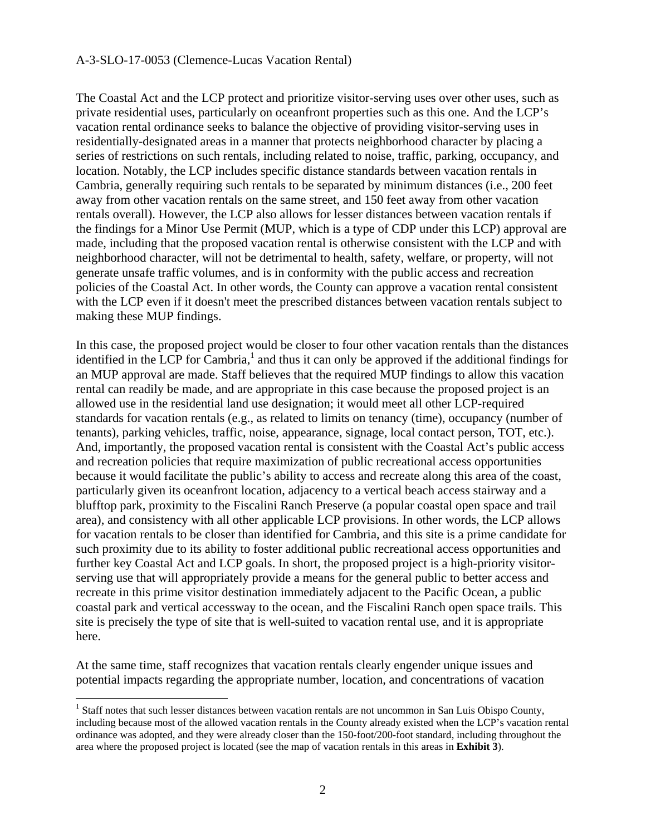The Coastal Act and the LCP protect and prioritize visitor-serving uses over other uses, such as private residential uses, particularly on oceanfront properties such as this one. And the LCP's vacation rental ordinance seeks to balance the objective of providing visitor-serving uses in residentially-designated areas in a manner that protects neighborhood character by placing a series of restrictions on such rentals, including related to noise, traffic, parking, occupancy, and location. Notably, the LCP includes specific distance standards between vacation rentals in Cambria, generally requiring such rentals to be separated by minimum distances (i.e., 200 feet away from other vacation rentals on the same street, and 150 feet away from other vacation rentals overall). However, the LCP also allows for lesser distances between vacation rentals if the findings for a Minor Use Permit (MUP, which is a type of CDP under this LCP) approval are made, including that the proposed vacation rental is otherwise consistent with the LCP and with neighborhood character, will not be detrimental to health, safety, welfare, or property, will not generate unsafe traffic volumes, and is in conformity with the public access and recreation policies of the Coastal Act. In other words, the County can approve a vacation rental consistent with the LCP even if it doesn't meet the prescribed distances between vacation rentals subject to making these MUP findings.

In this case, the proposed project would be closer to four other vacation rentals than the distances identified in the LCP for Cambria,<sup>1</sup> and thus it can only be approved if the additional findings for an MUP approval are made. Staff believes that the required MUP findings to allow this vacation rental can readily be made, and are appropriate in this case because the proposed project is an allowed use in the residential land use designation; it would meet all other LCP-required standards for vacation rentals (e.g., as related to limits on tenancy (time), occupancy (number of tenants), parking vehicles, traffic, noise, appearance, signage, local contact person, TOT, etc.). And, importantly, the proposed vacation rental is consistent with the Coastal Act's public access and recreation policies that require maximization of public recreational access opportunities because it would facilitate the public's ability to access and recreate along this area of the coast, particularly given its oceanfront location, adjacency to a vertical beach access stairway and a blufftop park, proximity to the Fiscalini Ranch Preserve (a popular coastal open space and trail area), and consistency with all other applicable LCP provisions. In other words, the LCP allows for vacation rentals to be closer than identified for Cambria, and this site is a prime candidate for such proximity due to its ability to foster additional public recreational access opportunities and further key Coastal Act and LCP goals. In short, the proposed project is a high-priority visitorserving use that will appropriately provide a means for the general public to better access and recreate in this prime visitor destination immediately adjacent to the Pacific Ocean, a public coastal park and vertical accessway to the ocean, and the Fiscalini Ranch open space trails. This site is precisely the type of site that is well-suited to vacation rental use, and it is appropriate here.

At the same time, staff recognizes that vacation rentals clearly engender unique issues and potential impacts regarding the appropriate number, location, and concentrations of vacation

 $\overline{a}$ 

<sup>&</sup>lt;sup>1</sup> Staff notes that such lesser distances between vacation rentals are not uncommon in San Luis Obispo County, including because most of the allowed vacation rentals in the County already existed when the LCP's vacation rental ordinance was adopted, and they were already closer than the 150-foot/200-foot standard, including throughout the area where the proposed project is located (see the map of vacation rentals in this areas in **Exhibit 3**).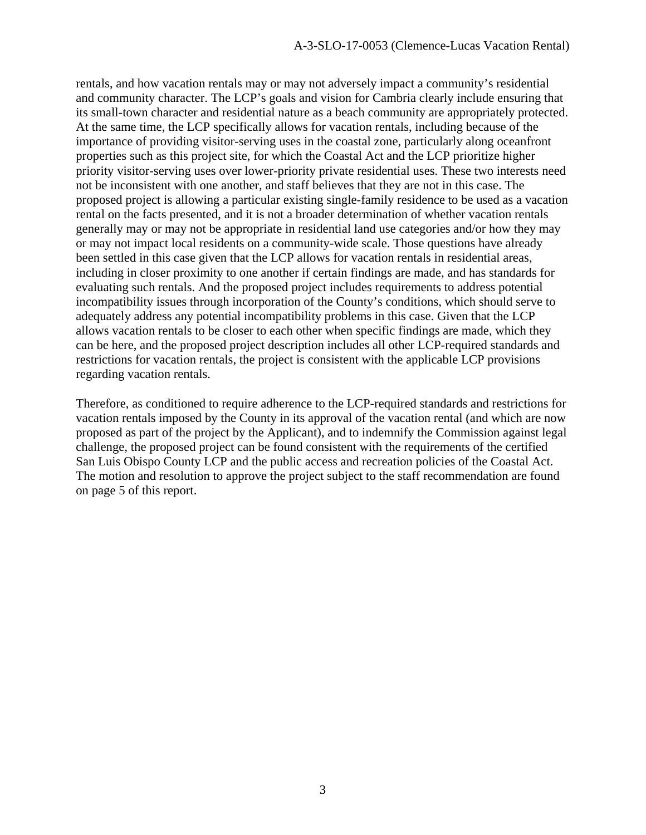rentals, and how vacation rentals may or may not adversely impact a community's residential and community character. The LCP's goals and vision for Cambria clearly include ensuring that its small-town character and residential nature as a beach community are appropriately protected. At the same time, the LCP specifically allows for vacation rentals, including because of the importance of providing visitor-serving uses in the coastal zone, particularly along oceanfront properties such as this project site, for which the Coastal Act and the LCP prioritize higher priority visitor-serving uses over lower-priority private residential uses. These two interests need not be inconsistent with one another, and staff believes that they are not in this case. The proposed project is allowing a particular existing single-family residence to be used as a vacation rental on the facts presented, and it is not a broader determination of whether vacation rentals generally may or may not be appropriate in residential land use categories and/or how they may or may not impact local residents on a community-wide scale. Those questions have already been settled in this case given that the LCP allows for vacation rentals in residential areas, including in closer proximity to one another if certain findings are made, and has standards for evaluating such rentals. And the proposed project includes requirements to address potential incompatibility issues through incorporation of the County's conditions, which should serve to adequately address any potential incompatibility problems in this case. Given that the LCP allows vacation rentals to be closer to each other when specific findings are made, which they can be here, and the proposed project description includes all other LCP-required standards and restrictions for vacation rentals, the project is consistent with the applicable LCP provisions regarding vacation rentals.

Therefore, as conditioned to require adherence to the LCP-required standards and restrictions for vacation rentals imposed by the County in its approval of the vacation rental (and which are now proposed as part of the project by the Applicant), and to indemnify the Commission against legal challenge, the proposed project can be found consistent with the requirements of the certified San Luis Obispo County LCP and the public access and recreation policies of the Coastal Act. The motion and resolution to approve the project subject to the staff recommendation are found on page 5 of this report.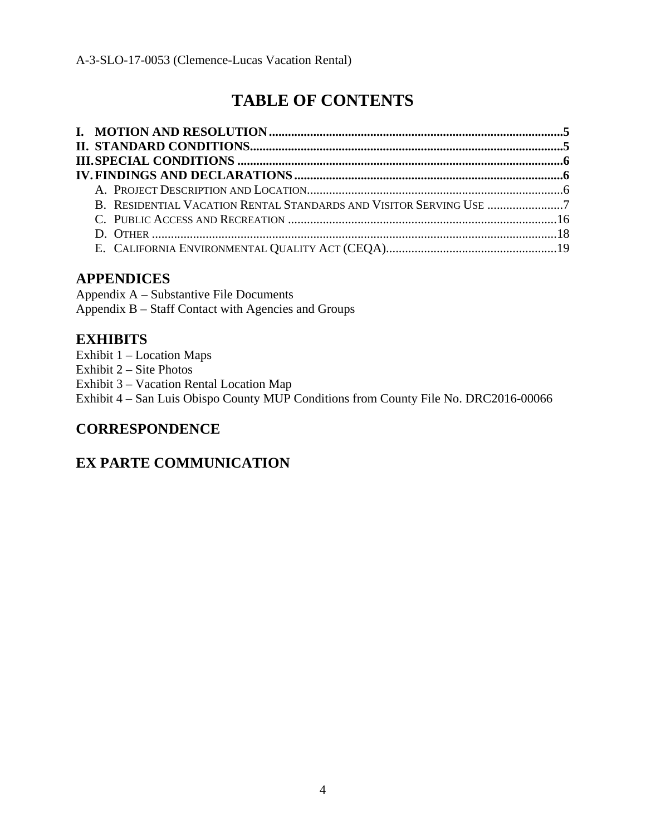# **TABLE OF CONTENTS**

# **APPENDICES**

Appendix A – Substantive File Documents Appendix B – Staff Contact with Agencies and Groups

# **EXHIBITS**

- Exhibit 1 Location Maps
- Exhibit 2 Site Photos
- Exhibit 3 Vacation Rental Location Map

Exhibit 4 – San Luis Obispo County MUP Conditions from County File No. DRC2016-00066

# **CORRESPONDENCE**

# **EX PARTE COMMUNICATION**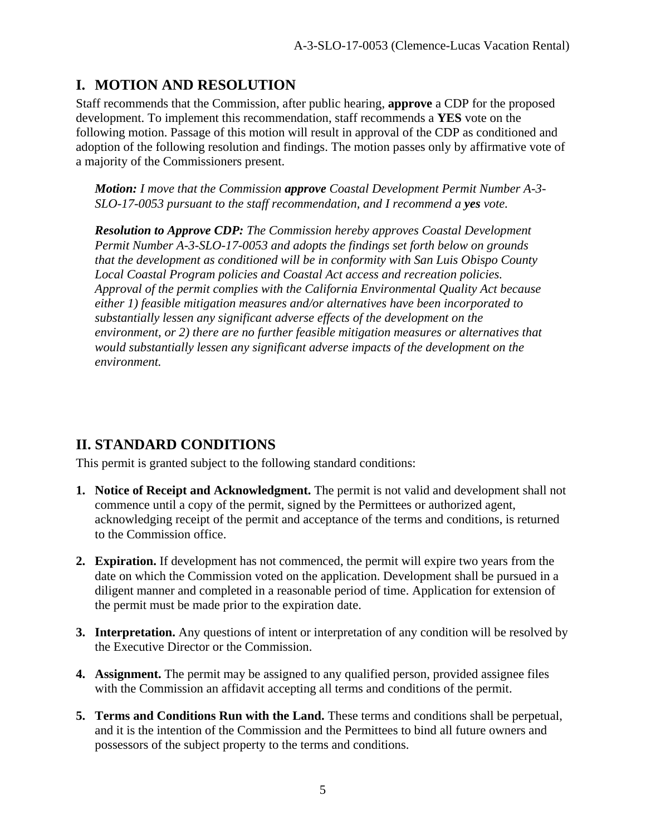# **I. MOTION AND RESOLUTION**

Staff recommends that the Commission, after public hearing, **approve** a CDP for the proposed development. To implement this recommendation, staff recommends a **YES** vote on the following motion. Passage of this motion will result in approval of the CDP as conditioned and adoption of the following resolution and findings. The motion passes only by affirmative vote of a majority of the Commissioners present.

*Motion: I move that the Commission approve Coastal Development Permit Number A-3- SLO-17-0053 pursuant to the staff recommendation, and I recommend a yes vote.* 

*Resolution to Approve CDP: The Commission hereby approves Coastal Development Permit Number A-3-SLO-17-0053 and adopts the findings set forth below on grounds that the development as conditioned will be in conformity with San Luis Obispo County Local Coastal Program policies and Coastal Act access and recreation policies. Approval of the permit complies with the California Environmental Quality Act because either 1) feasible mitigation measures and/or alternatives have been incorporated to substantially lessen any significant adverse effects of the development on the environment, or 2) there are no further feasible mitigation measures or alternatives that would substantially lessen any significant adverse impacts of the development on the environment.* 

# **II. STANDARD CONDITIONS**

This permit is granted subject to the following standard conditions:

- **1. Notice of Receipt and Acknowledgment.** The permit is not valid and development shall not commence until a copy of the permit, signed by the Permittees or authorized agent, acknowledging receipt of the permit and acceptance of the terms and conditions, is returned to the Commission office.
- **2. Expiration.** If development has not commenced, the permit will expire two years from the date on which the Commission voted on the application. Development shall be pursued in a diligent manner and completed in a reasonable period of time. Application for extension of the permit must be made prior to the expiration date.
- **3. Interpretation.** Any questions of intent or interpretation of any condition will be resolved by the Executive Director or the Commission.
- **4. Assignment.** The permit may be assigned to any qualified person, provided assignee files with the Commission an affidavit accepting all terms and conditions of the permit.
- **5. Terms and Conditions Run with the Land.** These terms and conditions shall be perpetual, and it is the intention of the Commission and the Permittees to bind all future owners and possessors of the subject property to the terms and conditions.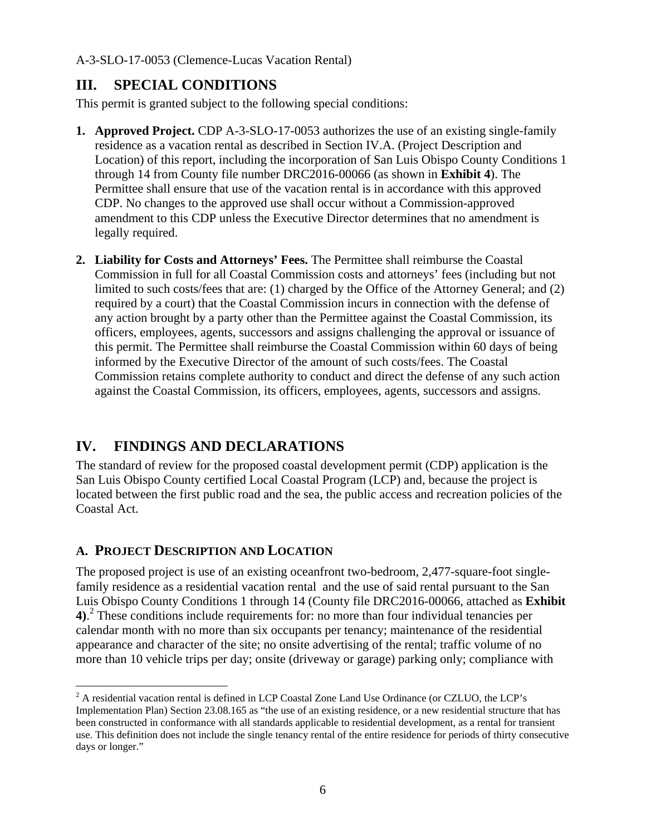# **III. SPECIAL CONDITIONS**

This permit is granted subject to the following special conditions:

- **1. Approved Project.** CDP A-3-SLO-17-0053 authorizes the use of an existing single-family residence as a vacation rental as described in Section IV.A. (Project Description and Location) of this report, including the incorporation of San Luis Obispo County Conditions 1 through 14 from County file number DRC2016-00066 (as shown in **Exhibit 4**). The Permittee shall ensure that use of the vacation rental is in accordance with this approved CDP. No changes to the approved use shall occur without a Commission-approved amendment to this CDP unless the Executive Director determines that no amendment is legally required.
- **2. Liability for Costs and Attorneys' Fees.** The Permittee shall reimburse the Coastal Commission in full for all Coastal Commission costs and attorneys' fees (including but not limited to such costs/fees that are: (1) charged by the Office of the Attorney General; and (2) required by a court) that the Coastal Commission incurs in connection with the defense of any action brought by a party other than the Permittee against the Coastal Commission, its officers, employees, agents, successors and assigns challenging the approval or issuance of this permit. The Permittee shall reimburse the Coastal Commission within 60 days of being informed by the Executive Director of the amount of such costs/fees. The Coastal Commission retains complete authority to conduct and direct the defense of any such action against the Coastal Commission, its officers, employees, agents, successors and assigns.

# **IV. FINDINGS AND DECLARATIONS**

The standard of review for the proposed coastal development permit (CDP) application is the San Luis Obispo County certified Local Coastal Program (LCP) and, because the project is located between the first public road and the sea, the public access and recreation policies of the Coastal Act.

# **A. PROJECT DESCRIPTION AND LOCATION**

 $\overline{a}$ 

The proposed project is use of an existing oceanfront two-bedroom, 2,477-square-foot singlefamily residence as a residential vacation rental and the use of said rental pursuant to the San Luis Obispo County Conditions 1 through 14 (County file DRC2016-00066, attached as **Exhibit 4)**. 2 These conditions include requirements for: no more than four individual tenancies per calendar month with no more than six occupants per tenancy; maintenance of the residential appearance and character of the site; no onsite advertising of the rental; traffic volume of no more than 10 vehicle trips per day; onsite (driveway or garage) parking only; compliance with

 $2^2$  A residential vacation rental is defined in LCP Coastal Zone Land Use Ordinance (or CZLUO, the LCP's Implementation Plan) Section 23.08.165 as "the use of an existing residence, or a new residential structure that has been constructed in conformance with all standards applicable to residential development, as a rental for transient use. This definition does not include the single tenancy rental of the entire residence for periods of thirty consecutive days or longer."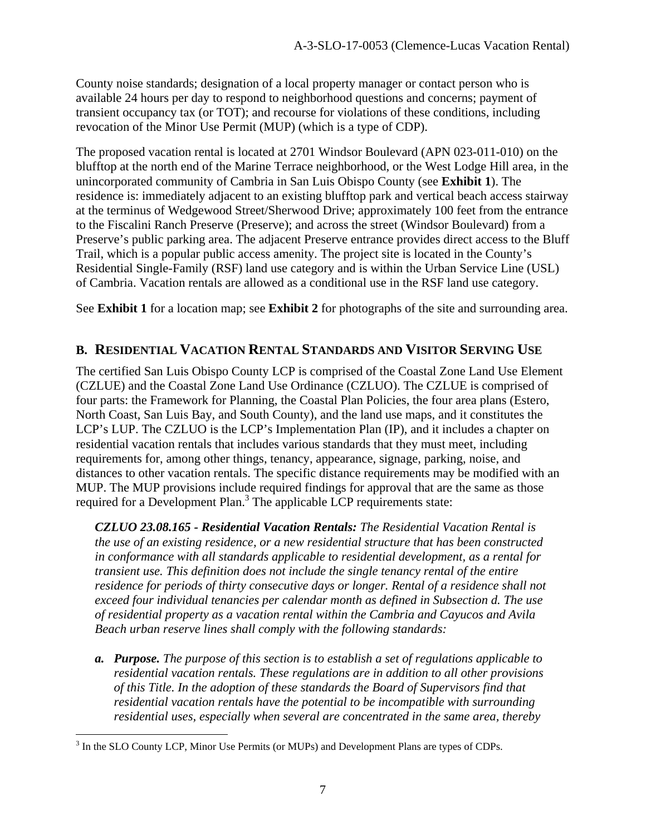County noise standards; designation of a local property manager or contact person who is available 24 hours per day to respond to neighborhood questions and concerns; payment of transient occupancy tax (or TOT); and recourse for violations of these conditions, including revocation of the Minor Use Permit (MUP) (which is a type of CDP).

The proposed vacation rental is located at 2701 Windsor Boulevard (APN 023-011-010) on the blufftop at the north end of the Marine Terrace neighborhood, or the West Lodge Hill area, in the unincorporated community of Cambria in San Luis Obispo County (see **Exhibit 1**). The residence is: immediately adjacent to an existing blufftop park and vertical beach access stairway at the terminus of Wedgewood Street/Sherwood Drive; approximately 100 feet from the entrance to the Fiscalini Ranch Preserve (Preserve); and across the street (Windsor Boulevard) from a Preserve's public parking area. The adjacent Preserve entrance provides direct access to the Bluff Trail, which is a popular public access amenity. The project site is located in the County's Residential Single-Family (RSF) land use category and is within the Urban Service Line (USL) of Cambria. Vacation rentals are allowed as a conditional use in the RSF land use category.

See **Exhibit 1** for a location map; see **Exhibit 2** for photographs of the site and surrounding area.

## **B. RESIDENTIAL VACATION RENTAL STANDARDS AND VISITOR SERVING USE**

The certified San Luis Obispo County LCP is comprised of the Coastal Zone Land Use Element (CZLUE) and the Coastal Zone Land Use Ordinance (CZLUO). The CZLUE is comprised of four parts: the Framework for Planning, the Coastal Plan Policies, the four area plans (Estero, North Coast, San Luis Bay, and South County), and the land use maps, and it constitutes the LCP's LUP. The CZLUO is the LCP's Implementation Plan (IP), and it includes a chapter on residential vacation rentals that includes various standards that they must meet, including requirements for, among other things, tenancy, appearance, signage, parking, noise, and distances to other vacation rentals. The specific distance requirements may be modified with an MUP. The MUP provisions include required findings for approval that are the same as those required for a Development Plan.<sup>3</sup> The applicable LCP requirements state:

*CZLUO 23.08.165 - Residential Vacation Rentals: The Residential Vacation Rental is the use of an existing residence, or a new residential structure that has been constructed in conformance with all standards applicable to residential development, as a rental for transient use. This definition does not include the single tenancy rental of the entire*  residence for periods of thirty consecutive days or longer. Rental of a residence shall not *exceed four individual tenancies per calendar month as defined in Subsection d. The use of residential property as a vacation rental within the Cambria and Cayucos and Avila Beach urban reserve lines shall comply with the following standards:* 

*a. Purpose. The purpose of this section is to establish a set of regulations applicable to residential vacation rentals. These regulations are in addition to all other provisions of this Title. In the adoption of these standards the Board of Supervisors find that residential vacation rentals have the potential to be incompatible with surrounding residential uses, especially when several are concentrated in the same area, thereby* 

 $\overline{a}$  $3$  In the SLO County LCP, Minor Use Permits (or MUPs) and Development Plans are types of CDPs.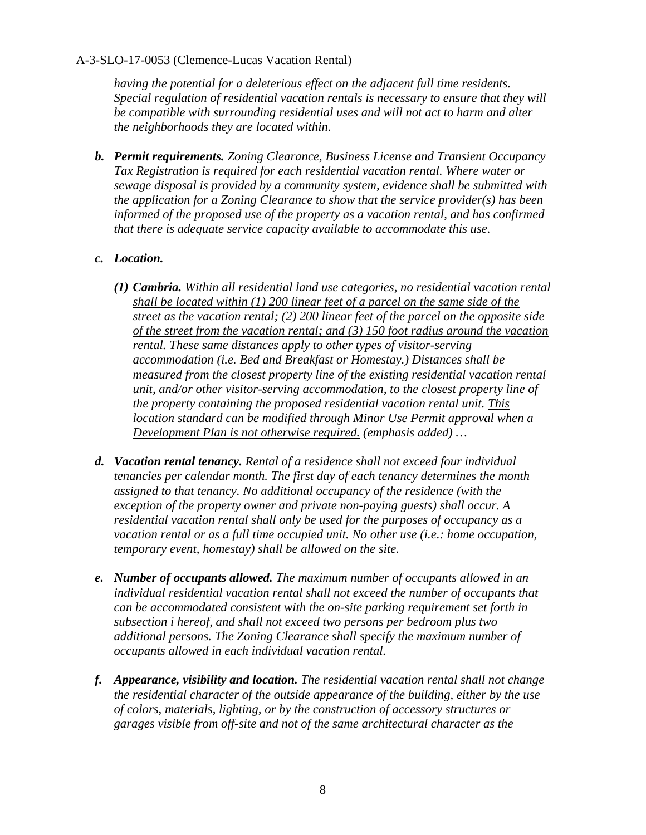*having the potential for a deleterious effect on the adjacent full time residents. Special regulation of residential vacation rentals is necessary to ensure that they will be compatible with surrounding residential uses and will not act to harm and alter the neighborhoods they are located within.* 

*b. Permit requirements. Zoning Clearance, Business License and Transient Occupancy Tax Registration is required for each residential vacation rental. Where water or sewage disposal is provided by a community system, evidence shall be submitted with the application for a Zoning Clearance to show that the service provider(s) has been informed of the proposed use of the property as a vacation rental, and has confirmed that there is adequate service capacity available to accommodate this use.* 

#### *c. Location.*

- *(1) Cambria. Within all residential land use categories, no residential vacation rental shall be located within (1) 200 linear feet of a parcel on the same side of the street as the vacation rental; (2) 200 linear feet of the parcel on the opposite side of the street from the vacation rental; and (3) 150 foot radius around the vacation rental. These same distances apply to other types of visitor-serving accommodation (i.e. Bed and Breakfast or Homestay.) Distances shall be measured from the closest property line of the existing residential vacation rental unit, and/or other visitor-serving accommodation, to the closest property line of the property containing the proposed residential vacation rental unit. This location standard can be modified through Minor Use Permit approval when a Development Plan is not otherwise required. (emphasis added) …*
- *d. Vacation rental tenancy. Rental of a residence shall not exceed four individual tenancies per calendar month. The first day of each tenancy determines the month assigned to that tenancy. No additional occupancy of the residence (with the exception of the property owner and private non-paying guests) shall occur. A residential vacation rental shall only be used for the purposes of occupancy as a vacation rental or as a full time occupied unit. No other use (i.e.: home occupation, temporary event, homestay) shall be allowed on the site.*
- *e. Number of occupants allowed. The maximum number of occupants allowed in an individual residential vacation rental shall not exceed the number of occupants that can be accommodated consistent with the on-site parking requirement set forth in subsection i hereof, and shall not exceed two persons per bedroom plus two additional persons. The Zoning Clearance shall specify the maximum number of occupants allowed in each individual vacation rental.*
- *f. Appearance, visibility and location. The residential vacation rental shall not change the residential character of the outside appearance of the building, either by the use of colors, materials, lighting, or by the construction of accessory structures or garages visible from off-site and not of the same architectural character as the*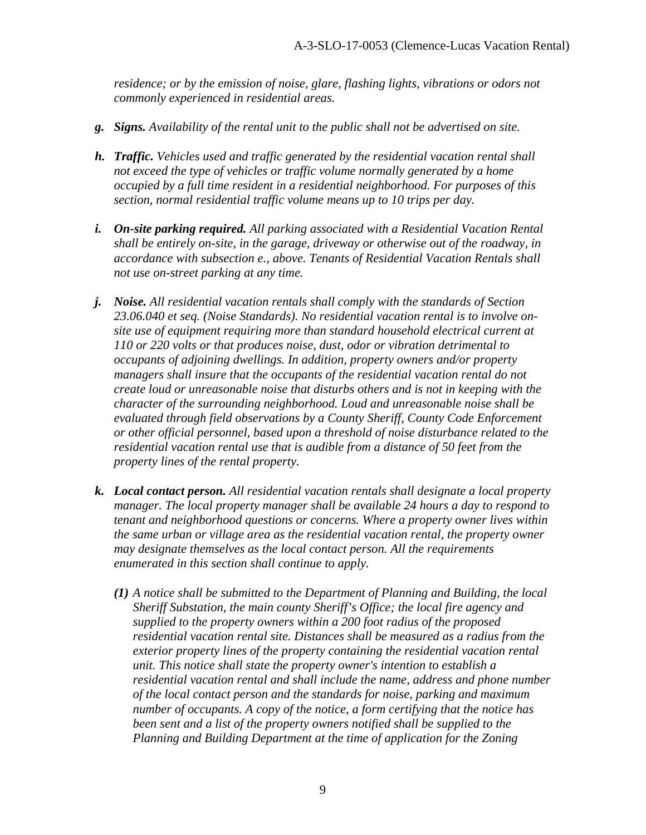*residence; or by the emission of noise, glare, flashing lights, vibrations or odors not commonly experienced in residential areas.* 

- *g. Signs. Availability of the rental unit to the public shall not be advertised on site.*
- *h. Traffic. Vehicles used and traffic generated by the residential vacation rental shall not exceed the type of vehicles or traffic volume normally generated by a home occupied by a full time resident in a residential neighborhood. For purposes of this section, normal residential traffic volume means up to 10 trips per day.*
- *i. On-site parking required. All parking associated with a Residential Vacation Rental shall be entirely on-site, in the garage, driveway or otherwise out of the roadway, in accordance with subsection e., above. Tenants of Residential Vacation Rentals shall not use on-street parking at any time.*
- *j. Noise. All residential vacation rentals shall comply with the standards of Section 23.06.040 et seq. (Noise Standards). No residential vacation rental is to involve onsite use of equipment requiring more than standard household electrical current at 110 or 220 volts or that produces noise, dust, odor or vibration detrimental to occupants of adjoining dwellings. In addition, property owners and/or property managers shall insure that the occupants of the residential vacation rental do not create loud or unreasonable noise that disturbs others and is not in keeping with the character of the surrounding neighborhood. Loud and unreasonable noise shall be evaluated through field observations by a County Sheriff, County Code Enforcement or other official personnel, based upon a threshold of noise disturbance related to the residential vacation rental use that is audible from a distance of 50 feet from the property lines of the rental property.*
- *k. Local contact person. All residential vacation rentals shall designate a local property manager. The local property manager shall be available 24 hours a day to respond to tenant and neighborhood questions or concerns. Where a property owner lives within the same urban or village area as the residential vacation rental, the property owner may designate themselves as the local contact person. All the requirements enumerated in this section shall continue to apply.* 
	- *(1) A notice shall be submitted to the Department of Planning and Building, the local Sheriff Substation, the main county Sheriff's Office; the local fire agency and supplied to the property owners within a 200 foot radius of the proposed residential vacation rental site. Distances shall be measured as a radius from the exterior property lines of the property containing the residential vacation rental unit. This notice shall state the property owner's intention to establish a residential vacation rental and shall include the name, address and phone number of the local contact person and the standards for noise, parking and maximum number of occupants. A copy of the notice, a form certifying that the notice has been sent and a list of the property owners notified shall be supplied to the Planning and Building Department at the time of application for the Zoning*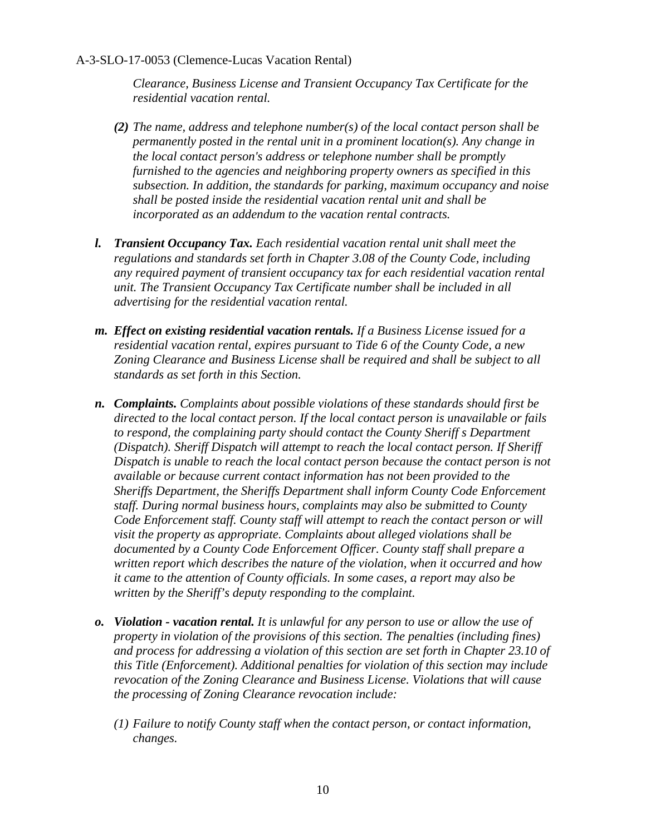*Clearance, Business License and Transient Occupancy Tax Certificate for the residential vacation rental.* 

- *(2) The name, address and telephone number(s) of the local contact person shall be permanently posted in the rental unit in a prominent location(s). Any change in the local contact person's address or telephone number shall be promptly furnished to the agencies and neighboring property owners as specified in this subsection. In addition, the standards for parking, maximum occupancy and noise shall be posted inside the residential vacation rental unit and shall be incorporated as an addendum to the vacation rental contracts.*
- *l. Transient Occupancy Tax. Each residential vacation rental unit shall meet the regulations and standards set forth in Chapter 3.08 of the County Code, including any required payment of transient occupancy tax for each residential vacation rental unit. The Transient Occupancy Tax Certificate number shall be included in all advertising for the residential vacation rental.*
- *m. Effect on existing residential vacation rentals. If a Business License issued for a residential vacation rental, expires pursuant to Tide 6 of the County Code, a new Zoning Clearance and Business License shall be required and shall be subject to all standards as set forth in this Section.*
- *n. Complaints. Complaints about possible violations of these standards should first be directed to the local contact person. If the local contact person is unavailable or fails to respond, the complaining party should contact the County Sheriff s Department (Dispatch). Sheriff Dispatch will attempt to reach the local contact person. If Sheriff Dispatch is unable to reach the local contact person because the contact person is not available or because current contact information has not been provided to the Sheriffs Department, the Sheriffs Department shall inform County Code Enforcement staff. During normal business hours, complaints may also be submitted to County Code Enforcement staff. County staff will attempt to reach the contact person or will visit the property as appropriate. Complaints about alleged violations shall be documented by a County Code Enforcement Officer. County staff shall prepare a written report which describes the nature of the violation, when it occurred and how it came to the attention of County officials. In some cases, a report may also be written by the Sheriff's deputy responding to the complaint.*
- *o. Violation vacation rental. It is unlawful for any person to use or allow the use of property in violation of the provisions of this section. The penalties (including fines) and process for addressing a violation of this section are set forth in Chapter 23.10 of this Title (Enforcement). Additional penalties for violation of this section may include revocation of the Zoning Clearance and Business License. Violations that will cause the processing of Zoning Clearance revocation include:* 
	- *(1) Failure to notify County staff when the contact person, or contact information, changes.*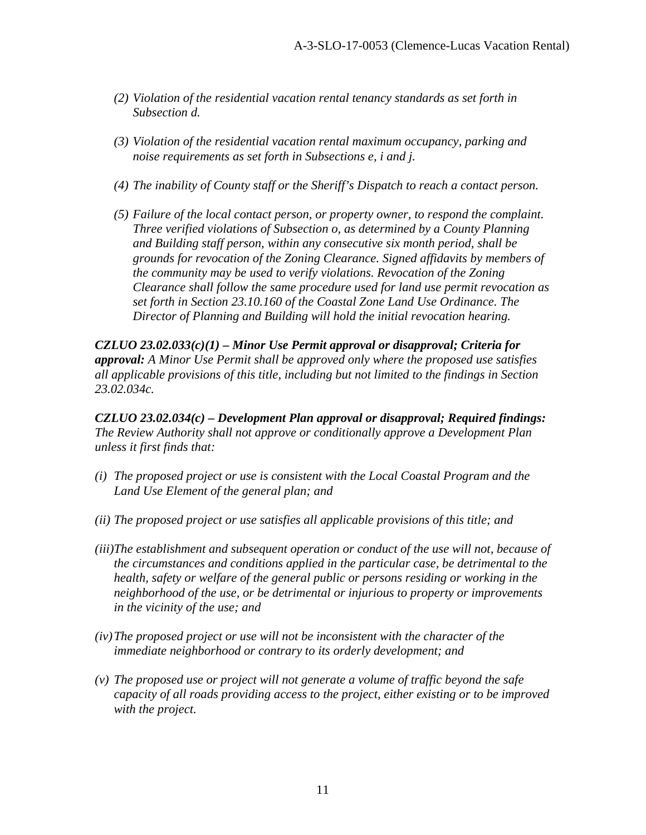- *(2) Violation of the residential vacation rental tenancy standards as set forth in Subsection d.*
- *(3) Violation of the residential vacation rental maximum occupancy, parking and noise requirements as set forth in Subsections e, i and j.*
- *(4) The inability of County staff or the Sheriff's Dispatch to reach a contact person.*
- *(5) Failure of the local contact person, or property owner, to respond the complaint. Three verified violations of Subsection o, as determined by a County Planning and Building staff person, within any consecutive six month period, shall be grounds for revocation of the Zoning Clearance. Signed affidavits by members of the community may be used to verify violations. Revocation of the Zoning Clearance shall follow the same procedure used for land use permit revocation as set forth in Section 23.10.160 of the Coastal Zone Land Use Ordinance. The Director of Planning and Building will hold the initial revocation hearing.*

*CZLUO 23.02.033(c)(1) – Minor Use Permit approval or disapproval; Criteria for approval: A Minor Use Permit shall be approved only where the proposed use satisfies all applicable provisions of this title, including but not limited to the findings in Section 23.02.034c.* 

*CZLUO 23.02.034(c) – Development Plan approval or disapproval; Required findings: The Review Authority shall not approve or conditionally approve a Development Plan unless it first finds that:* 

- *(i) The proposed project or use is consistent with the Local Coastal Program and the Land Use Element of the general plan; and*
- *(ii) The proposed project or use satisfies all applicable provisions of this title; and*
- *(iii)The establishment and subsequent operation or conduct of the use will not, because of the circumstances and conditions applied in the particular case, be detrimental to the health, safety or welfare of the general public or persons residing or working in the neighborhood of the use, or be detrimental or injurious to property or improvements in the vicinity of the use; and*
- *(iv) The proposed project or use will not be inconsistent with the character of the immediate neighborhood or contrary to its orderly development; and*
- *(v) The proposed use or project will not generate a volume of traffic beyond the safe capacity of all roads providing access to the project, either existing or to be improved with the project.*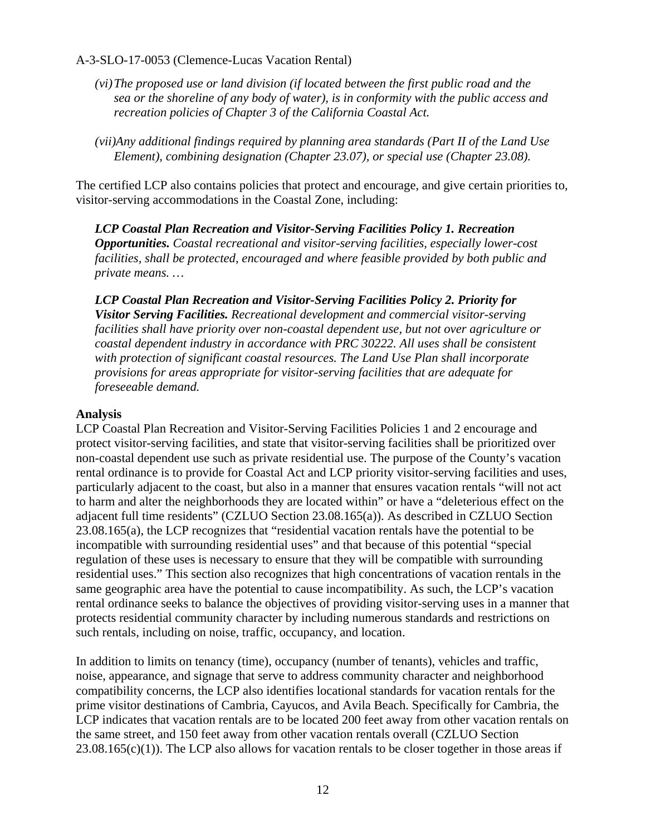- *(vi) The proposed use or land division (if located between the first public road and the sea or the shoreline of any body of water), is in conformity with the public access and recreation policies of Chapter 3 of the California Coastal Act.*
- *(vii)Any additional findings required by planning area standards (Part II of the Land Use Element), combining designation (Chapter 23.07), or special use (Chapter 23.08).*

The certified LCP also contains policies that protect and encourage, and give certain priorities to, visitor-serving accommodations in the Coastal Zone, including:

*LCP Coastal Plan Recreation and Visitor-Serving Facilities Policy 1. Recreation Opportunities. Coastal recreational and visitor-serving facilities, especially lower-cost facilities, shall be protected, encouraged and where feasible provided by both public and private means. …* 

*LCP Coastal Plan Recreation and Visitor-Serving Facilities Policy 2. Priority for Visitor Serving Facilities. Recreational development and commercial visitor-serving facilities shall have priority over non-coastal dependent use, but not over agriculture or coastal dependent industry in accordance with PRC 30222. All uses shall be consistent with protection of significant coastal resources. The Land Use Plan shall incorporate provisions for areas appropriate for visitor-serving facilities that are adequate for foreseeable demand.* 

#### **Analysis**

LCP Coastal Plan Recreation and Visitor-Serving Facilities Policies 1 and 2 encourage and protect visitor-serving facilities, and state that visitor-serving facilities shall be prioritized over non-coastal dependent use such as private residential use. The purpose of the County's vacation rental ordinance is to provide for Coastal Act and LCP priority visitor-serving facilities and uses, particularly adjacent to the coast, but also in a manner that ensures vacation rentals "will not act to harm and alter the neighborhoods they are located within" or have a "deleterious effect on the adjacent full time residents" (CZLUO Section 23.08.165(a)). As described in CZLUO Section 23.08.165(a), the LCP recognizes that "residential vacation rentals have the potential to be incompatible with surrounding residential uses" and that because of this potential "special regulation of these uses is necessary to ensure that they will be compatible with surrounding residential uses." This section also recognizes that high concentrations of vacation rentals in the same geographic area have the potential to cause incompatibility. As such, the LCP's vacation rental ordinance seeks to balance the objectives of providing visitor-serving uses in a manner that protects residential community character by including numerous standards and restrictions on such rentals, including on noise, traffic, occupancy, and location.

In addition to limits on tenancy (time), occupancy (number of tenants), vehicles and traffic, noise, appearance, and signage that serve to address community character and neighborhood compatibility concerns, the LCP also identifies locational standards for vacation rentals for the prime visitor destinations of Cambria, Cayucos, and Avila Beach. Specifically for Cambria, the LCP indicates that vacation rentals are to be located 200 feet away from other vacation rentals on the same street, and 150 feet away from other vacation rentals overall (CZLUO Section  $23.08.165(c)(1)$ ). The LCP also allows for vacation rentals to be closer together in those areas if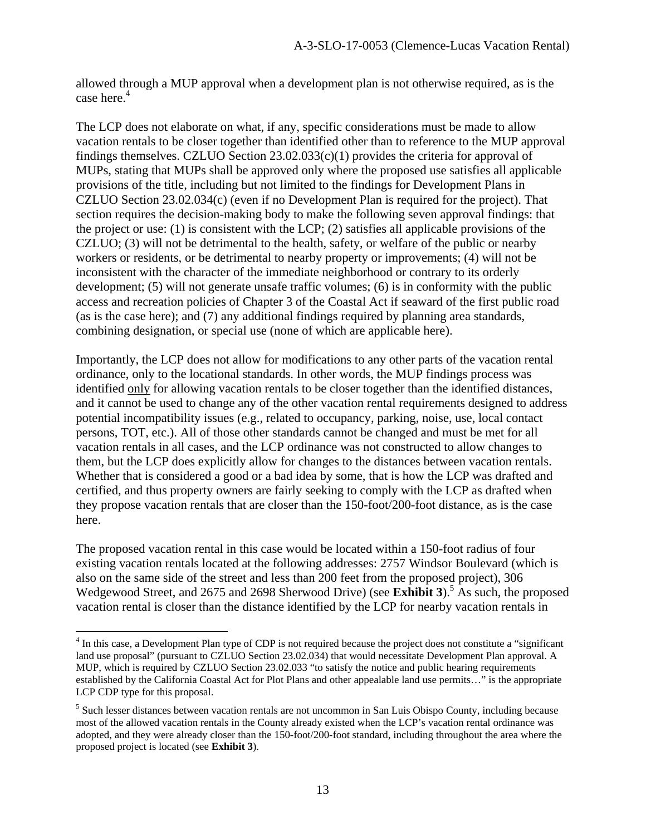allowed through a MUP approval when a development plan is not otherwise required, as is the case here.<sup>4</sup>

The LCP does not elaborate on what, if any, specific considerations must be made to allow vacation rentals to be closer together than identified other than to reference to the MUP approval findings themselves. CZLUO Section 23.02.033(c)(1) provides the criteria for approval of MUPs, stating that MUPs shall be approved only where the proposed use satisfies all applicable provisions of the title, including but not limited to the findings for Development Plans in CZLUO Section 23.02.034(c) (even if no Development Plan is required for the project). That section requires the decision-making body to make the following seven approval findings: that the project or use: (1) is consistent with the LCP; (2) satisfies all applicable provisions of the CZLUO; (3) will not be detrimental to the health, safety, or welfare of the public or nearby workers or residents, or be detrimental to nearby property or improvements; (4) will not be inconsistent with the character of the immediate neighborhood or contrary to its orderly development; (5) will not generate unsafe traffic volumes; (6) is in conformity with the public access and recreation policies of Chapter 3 of the Coastal Act if seaward of the first public road (as is the case here); and (7) any additional findings required by planning area standards, combining designation, or special use (none of which are applicable here).

Importantly, the LCP does not allow for modifications to any other parts of the vacation rental ordinance, only to the locational standards. In other words, the MUP findings process was identified only for allowing vacation rentals to be closer together than the identified distances, and it cannot be used to change any of the other vacation rental requirements designed to address potential incompatibility issues (e.g., related to occupancy, parking, noise, use, local contact persons, TOT, etc.). All of those other standards cannot be changed and must be met for all vacation rentals in all cases, and the LCP ordinance was not constructed to allow changes to them, but the LCP does explicitly allow for changes to the distances between vacation rentals. Whether that is considered a good or a bad idea by some, that is how the LCP was drafted and certified, and thus property owners are fairly seeking to comply with the LCP as drafted when they propose vacation rentals that are closer than the 150-foot/200-foot distance, as is the case here.

The proposed vacation rental in this case would be located within a 150-foot radius of four existing vacation rentals located at the following addresses: 2757 Windsor Boulevard (which is also on the same side of the street and less than 200 feet from the proposed project), 306 Wedgewood Street, and 2675 and 2698 Sherwood Drive) (see **Exhibit 3**).<sup>5</sup> As such, the proposed vacation rental is closer than the distance identified by the LCP for nearby vacation rentals in

 $\overline{a}$ 

<sup>&</sup>lt;sup>4</sup> In this case, a Development Plan type of CDP is not required because the project does not constitute a "significant land use proposal" (pursuant to CZLUO Section 23.02.034) that would necessitate Development Plan approval. A MUP, which is required by CZLUO Section 23.02.033 "to satisfy the notice and public hearing requirements established by the California Coastal Act for Plot Plans and other appealable land use permits…" is the appropriate LCP CDP type for this proposal.

<sup>&</sup>lt;sup>5</sup> Such lesser distances between vacation rentals are not uncommon in San Luis Obispo County, including because most of the allowed vacation rentals in the County already existed when the LCP's vacation rental ordinance was adopted, and they were already closer than the 150-foot/200-foot standard, including throughout the area where the proposed project is located (see **Exhibit 3**).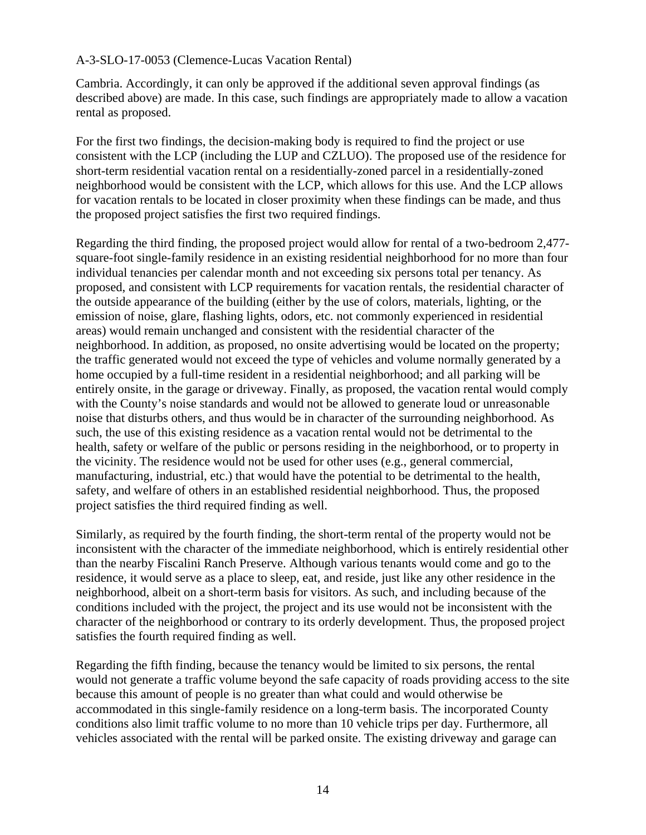Cambria. Accordingly, it can only be approved if the additional seven approval findings (as described above) are made. In this case, such findings are appropriately made to allow a vacation rental as proposed.

For the first two findings, the decision-making body is required to find the project or use consistent with the LCP (including the LUP and CZLUO). The proposed use of the residence for short-term residential vacation rental on a residentially-zoned parcel in a residentially-zoned neighborhood would be consistent with the LCP, which allows for this use. And the LCP allows for vacation rentals to be located in closer proximity when these findings can be made, and thus the proposed project satisfies the first two required findings.

Regarding the third finding, the proposed project would allow for rental of a two-bedroom 2,477 square-foot single-family residence in an existing residential neighborhood for no more than four individual tenancies per calendar month and not exceeding six persons total per tenancy. As proposed, and consistent with LCP requirements for vacation rentals, the residential character of the outside appearance of the building (either by the use of colors, materials, lighting, or the emission of noise, glare, flashing lights, odors, etc. not commonly experienced in residential areas) would remain unchanged and consistent with the residential character of the neighborhood. In addition, as proposed, no onsite advertising would be located on the property; the traffic generated would not exceed the type of vehicles and volume normally generated by a home occupied by a full-time resident in a residential neighborhood; and all parking will be entirely onsite, in the garage or driveway. Finally, as proposed, the vacation rental would comply with the County's noise standards and would not be allowed to generate loud or unreasonable noise that disturbs others, and thus would be in character of the surrounding neighborhood. As such, the use of this existing residence as a vacation rental would not be detrimental to the health, safety or welfare of the public or persons residing in the neighborhood, or to property in the vicinity. The residence would not be used for other uses (e.g., general commercial, manufacturing, industrial, etc.) that would have the potential to be detrimental to the health, safety, and welfare of others in an established residential neighborhood. Thus, the proposed project satisfies the third required finding as well.

Similarly, as required by the fourth finding, the short-term rental of the property would not be inconsistent with the character of the immediate neighborhood, which is entirely residential other than the nearby Fiscalini Ranch Preserve. Although various tenants would come and go to the residence, it would serve as a place to sleep, eat, and reside, just like any other residence in the neighborhood, albeit on a short-term basis for visitors. As such, and including because of the conditions included with the project, the project and its use would not be inconsistent with the character of the neighborhood or contrary to its orderly development. Thus, the proposed project satisfies the fourth required finding as well.

Regarding the fifth finding, because the tenancy would be limited to six persons, the rental would not generate a traffic volume beyond the safe capacity of roads providing access to the site because this amount of people is no greater than what could and would otherwise be accommodated in this single-family residence on a long-term basis. The incorporated County conditions also limit traffic volume to no more than 10 vehicle trips per day. Furthermore, all vehicles associated with the rental will be parked onsite. The existing driveway and garage can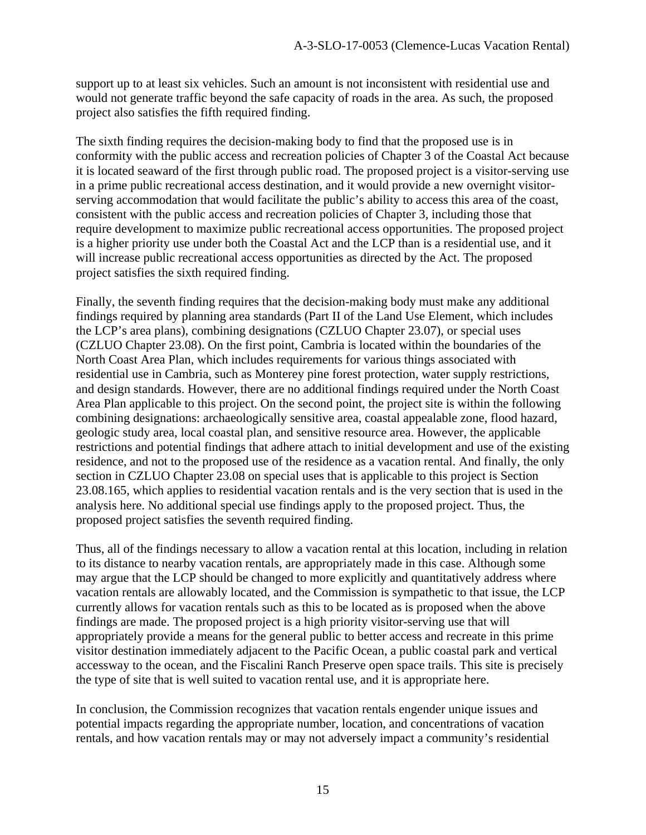support up to at least six vehicles. Such an amount is not inconsistent with residential use and would not generate traffic beyond the safe capacity of roads in the area. As such, the proposed project also satisfies the fifth required finding.

The sixth finding requires the decision-making body to find that the proposed use is in conformity with the public access and recreation policies of Chapter 3 of the Coastal Act because it is located seaward of the first through public road. The proposed project is a visitor-serving use in a prime public recreational access destination, and it would provide a new overnight visitorserving accommodation that would facilitate the public's ability to access this area of the coast, consistent with the public access and recreation policies of Chapter 3, including those that require development to maximize public recreational access opportunities. The proposed project is a higher priority use under both the Coastal Act and the LCP than is a residential use, and it will increase public recreational access opportunities as directed by the Act. The proposed project satisfies the sixth required finding.

Finally, the seventh finding requires that the decision-making body must make any additional findings required by planning area standards (Part II of the Land Use Element, which includes the LCP's area plans), combining designations (CZLUO Chapter 23.07), or special uses (CZLUO Chapter 23.08). On the first point, Cambria is located within the boundaries of the North Coast Area Plan, which includes requirements for various things associated with residential use in Cambria, such as Monterey pine forest protection, water supply restrictions, and design standards. However, there are no additional findings required under the North Coast Area Plan applicable to this project. On the second point, the project site is within the following combining designations: archaeologically sensitive area, coastal appealable zone, flood hazard, geologic study area, local coastal plan, and sensitive resource area. However, the applicable restrictions and potential findings that adhere attach to initial development and use of the existing residence, and not to the proposed use of the residence as a vacation rental. And finally, the only section in CZLUO Chapter 23.08 on special uses that is applicable to this project is Section 23.08.165, which applies to residential vacation rentals and is the very section that is used in the analysis here. No additional special use findings apply to the proposed project. Thus, the proposed project satisfies the seventh required finding.

Thus, all of the findings necessary to allow a vacation rental at this location, including in relation to its distance to nearby vacation rentals, are appropriately made in this case. Although some may argue that the LCP should be changed to more explicitly and quantitatively address where vacation rentals are allowably located, and the Commission is sympathetic to that issue, the LCP currently allows for vacation rentals such as this to be located as is proposed when the above findings are made. The proposed project is a high priority visitor-serving use that will appropriately provide a means for the general public to better access and recreate in this prime visitor destination immediately adjacent to the Pacific Ocean, a public coastal park and vertical accessway to the ocean, and the Fiscalini Ranch Preserve open space trails. This site is precisely the type of site that is well suited to vacation rental use, and it is appropriate here.

In conclusion, the Commission recognizes that vacation rentals engender unique issues and potential impacts regarding the appropriate number, location, and concentrations of vacation rentals, and how vacation rentals may or may not adversely impact a community's residential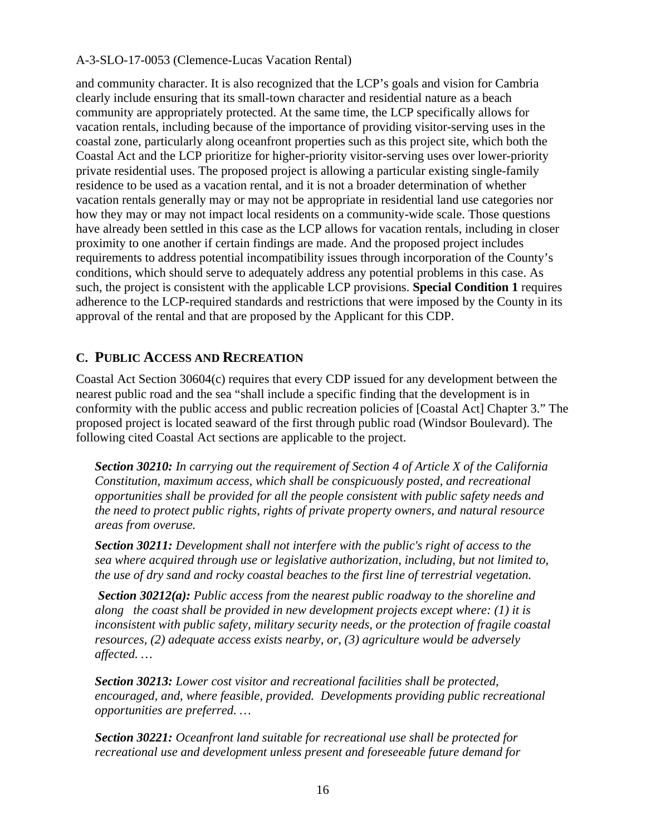and community character. It is also recognized that the LCP's goals and vision for Cambria clearly include ensuring that its small-town character and residential nature as a beach community are appropriately protected. At the same time, the LCP specifically allows for vacation rentals, including because of the importance of providing visitor-serving uses in the coastal zone, particularly along oceanfront properties such as this project site, which both the Coastal Act and the LCP prioritize for higher-priority visitor-serving uses over lower-priority private residential uses. The proposed project is allowing a particular existing single-family residence to be used as a vacation rental, and it is not a broader determination of whether vacation rentals generally may or may not be appropriate in residential land use categories nor how they may or may not impact local residents on a community-wide scale. Those questions have already been settled in this case as the LCP allows for vacation rentals, including in closer proximity to one another if certain findings are made. And the proposed project includes requirements to address potential incompatibility issues through incorporation of the County's conditions, which should serve to adequately address any potential problems in this case. As such, the project is consistent with the applicable LCP provisions. **Special Condition 1** requires adherence to the LCP-required standards and restrictions that were imposed by the County in its approval of the rental and that are proposed by the Applicant for this CDP.

## **C. PUBLIC ACCESS AND RECREATION**

Coastal Act Section 30604(c) requires that every CDP issued for any development between the nearest public road and the sea "shall include a specific finding that the development is in conformity with the public access and public recreation policies of [Coastal Act] Chapter 3." The proposed project is located seaward of the first through public road (Windsor Boulevard). The following cited Coastal Act sections are applicable to the project.

*Section 30210: In carrying out the requirement of Section 4 of Article X of the California Constitution, maximum access, which shall be conspicuously posted, and recreational opportunities shall be provided for all the people consistent with public safety needs and the need to protect public rights, rights of private property owners, and natural resource areas from overuse.* 

*Section 30211: Development shall not interfere with the public's right of access to the sea where acquired through use or legislative authorization, including, but not limited to, the use of dry sand and rocky coastal beaches to the first line of terrestrial vegetation.* 

 *Section 30212(a): Public access from the nearest public roadway to the shoreline and along the coast shall be provided in new development projects except where: (1) it is inconsistent with public safety, military security needs, or the protection of fragile coastal resources, (2) adequate access exists nearby, or, (3) agriculture would be adversely affected. …* 

*Section 30213: Lower cost visitor and recreational facilities shall be protected, encouraged, and, where feasible, provided. Developments providing public recreational opportunities are preferred. …* 

*Section 30221: Oceanfront land suitable for recreational use shall be protected for recreational use and development unless present and foreseeable future demand for*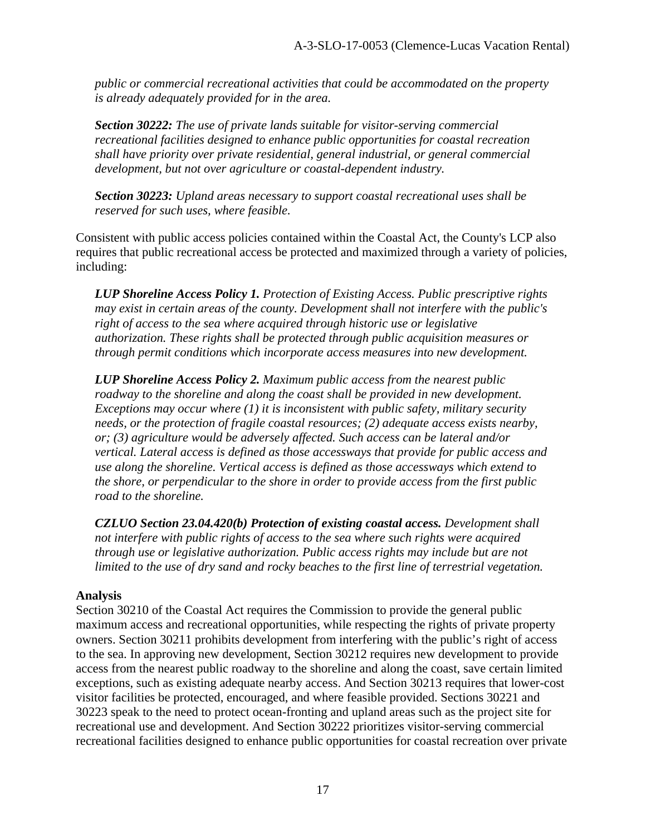*public or commercial recreational activities that could be accommodated on the property is already adequately provided for in the area.* 

*Section 30222: The use of private lands suitable for visitor-serving commercial recreational facilities designed to enhance public opportunities for coastal recreation shall have priority over private residential, general industrial, or general commercial development, but not over agriculture or coastal-dependent industry.* 

*Section 30223: Upland areas necessary to support coastal recreational uses shall be reserved for such uses, where feasible.* 

Consistent with public access policies contained within the Coastal Act, the County's LCP also requires that public recreational access be protected and maximized through a variety of policies, including:

*LUP Shoreline Access Policy 1. Protection of Existing Access. Public prescriptive rights may exist in certain areas of the county. Development shall not interfere with the public's right of access to the sea where acquired through historic use or legislative authorization. These rights shall be protected through public acquisition measures or through permit conditions which incorporate access measures into new development.* 

*LUP Shoreline Access Policy 2. Maximum public access from the nearest public roadway to the shoreline and along the coast shall be provided in new development. Exceptions may occur where (1) it is inconsistent with public safety, military security needs, or the protection of fragile coastal resources; (2) adequate access exists nearby, or; (3) agriculture would be adversely affected. Such access can be lateral and/or vertical. Lateral access is defined as those accessways that provide for public access and use along the shoreline. Vertical access is defined as those accessways which extend to the shore, or perpendicular to the shore in order to provide access from the first public road to the shoreline.* 

*CZLUO Section 23.04.420(b) Protection of existing coastal access. Development shall not interfere with public rights of access to the sea where such rights were acquired through use or legislative authorization. Public access rights may include but are not limited to the use of dry sand and rocky beaches to the first line of terrestrial vegetation.* 

#### **Analysis**

Section 30210 of the Coastal Act requires the Commission to provide the general public maximum access and recreational opportunities, while respecting the rights of private property owners. Section 30211 prohibits development from interfering with the public's right of access to the sea. In approving new development, Section 30212 requires new development to provide access from the nearest public roadway to the shoreline and along the coast, save certain limited exceptions, such as existing adequate nearby access. And Section 30213 requires that lower-cost visitor facilities be protected, encouraged, and where feasible provided. Sections 30221 and 30223 speak to the need to protect ocean-fronting and upland areas such as the project site for recreational use and development. And Section 30222 prioritizes visitor-serving commercial recreational facilities designed to enhance public opportunities for coastal recreation over private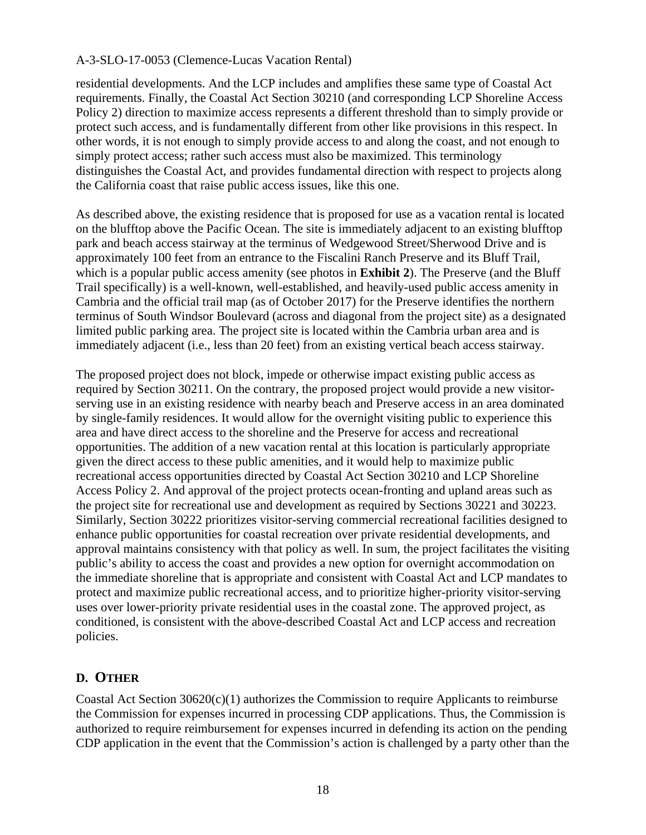residential developments. And the LCP includes and amplifies these same type of Coastal Act requirements. Finally, the Coastal Act Section 30210 (and corresponding LCP Shoreline Access Policy 2) direction to maximize access represents a different threshold than to simply provide or protect such access, and is fundamentally different from other like provisions in this respect. In other words, it is not enough to simply provide access to and along the coast, and not enough to simply protect access; rather such access must also be maximized. This terminology distinguishes the Coastal Act, and provides fundamental direction with respect to projects along the California coast that raise public access issues, like this one.

As described above, the existing residence that is proposed for use as a vacation rental is located on the blufftop above the Pacific Ocean. The site is immediately adjacent to an existing blufftop park and beach access stairway at the terminus of Wedgewood Street/Sherwood Drive and is approximately 100 feet from an entrance to the Fiscalini Ranch Preserve and its Bluff Trail, which is a popular public access amenity (see photos in **Exhibit 2**). The Preserve (and the Bluff Trail specifically) is a well-known, well-established, and heavily-used public access amenity in Cambria and the official trail map (as of October 2017) for the Preserve identifies the northern terminus of South Windsor Boulevard (across and diagonal from the project site) as a designated limited public parking area. The project site is located within the Cambria urban area and is immediately adjacent (i.e., less than 20 feet) from an existing vertical beach access stairway.

The proposed project does not block, impede or otherwise impact existing public access as required by Section 30211. On the contrary, the proposed project would provide a new visitorserving use in an existing residence with nearby beach and Preserve access in an area dominated by single-family residences. It would allow for the overnight visiting public to experience this area and have direct access to the shoreline and the Preserve for access and recreational opportunities. The addition of a new vacation rental at this location is particularly appropriate given the direct access to these public amenities, and it would help to maximize public recreational access opportunities directed by Coastal Act Section 30210 and LCP Shoreline Access Policy 2. And approval of the project protects ocean-fronting and upland areas such as the project site for recreational use and development as required by Sections 30221 and 30223. Similarly, Section 30222 prioritizes visitor-serving commercial recreational facilities designed to enhance public opportunities for coastal recreation over private residential developments, and approval maintains consistency with that policy as well. In sum, the project facilitates the visiting public's ability to access the coast and provides a new option for overnight accommodation on the immediate shoreline that is appropriate and consistent with Coastal Act and LCP mandates to protect and maximize public recreational access, and to prioritize higher-priority visitor-serving uses over lower-priority private residential uses in the coastal zone. The approved project, as conditioned, is consistent with the above-described Coastal Act and LCP access and recreation policies.

## **D. OTHER**

Coastal Act Section 30620(c)(1) authorizes the Commission to require Applicants to reimburse the Commission for expenses incurred in processing CDP applications. Thus, the Commission is authorized to require reimbursement for expenses incurred in defending its action on the pending CDP application in the event that the Commission's action is challenged by a party other than the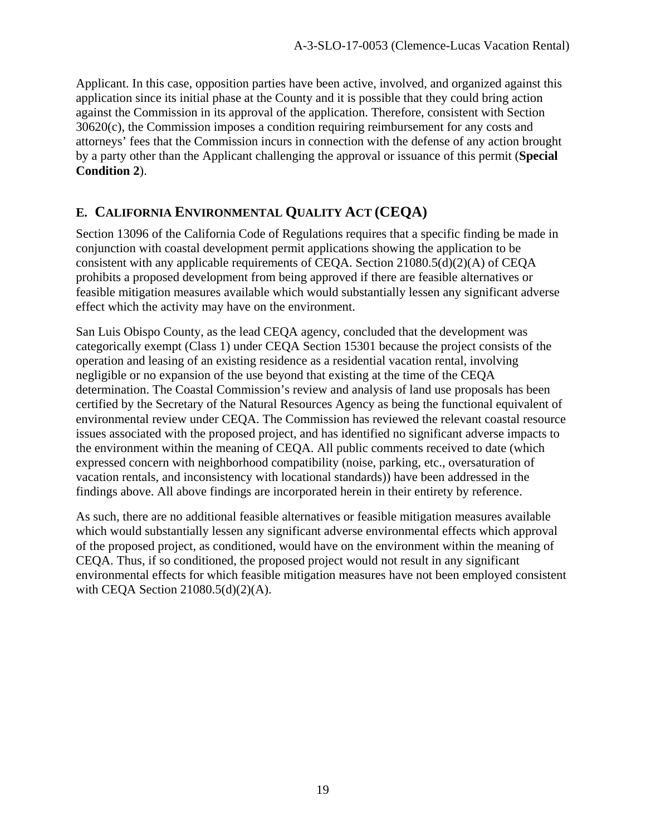Applicant. In this case, opposition parties have been active, involved, and organized against this application since its initial phase at the County and it is possible that they could bring action against the Commission in its approval of the application. Therefore, consistent with Section  $30620(c)$ , the Commission imposes a condition requiring reimbursement for any costs and attorneys' fees that the Commission incurs in connection with the defense of any action brought by a party other than the Applicant challenging the approval or issuance of this permit (**Special Condition 2**).

# **E. CALIFORNIA ENVIRONMENTAL QUALITY ACT (CEQA)**

Section 13096 of the California Code of Regulations requires that a specific finding be made in conjunction with coastal development permit applications showing the application to be consistent with any applicable requirements of CEQA. Section 21080.5(d)(2)(A) of CEQA prohibits a proposed development from being approved if there are feasible alternatives or feasible mitigation measures available which would substantially lessen any significant adverse effect which the activity may have on the environment.

San Luis Obispo County, as the lead CEQA agency, concluded that the development was categorically exempt (Class 1) under CEQA Section 15301 because the project consists of the operation and leasing of an existing residence as a residential vacation rental, involving negligible or no expansion of the use beyond that existing at the time of the CEQA determination. The Coastal Commission's review and analysis of land use proposals has been certified by the Secretary of the Natural Resources Agency as being the functional equivalent of environmental review under CEQA. The Commission has reviewed the relevant coastal resource issues associated with the proposed project, and has identified no significant adverse impacts to the environment within the meaning of CEQA. All public comments received to date (which expressed concern with neighborhood compatibility (noise, parking, etc., oversaturation of vacation rentals, and inconsistency with locational standards)) have been addressed in the findings above. All above findings are incorporated herein in their entirety by reference.

As such, there are no additional feasible alternatives or feasible mitigation measures available which would substantially lessen any significant adverse environmental effects which approval of the proposed project, as conditioned, would have on the environment within the meaning of CEQA. Thus, if so conditioned, the proposed project would not result in any significant environmental effects for which feasible mitigation measures have not been employed consistent with CEQA Section 21080.5(d)(2)(A).